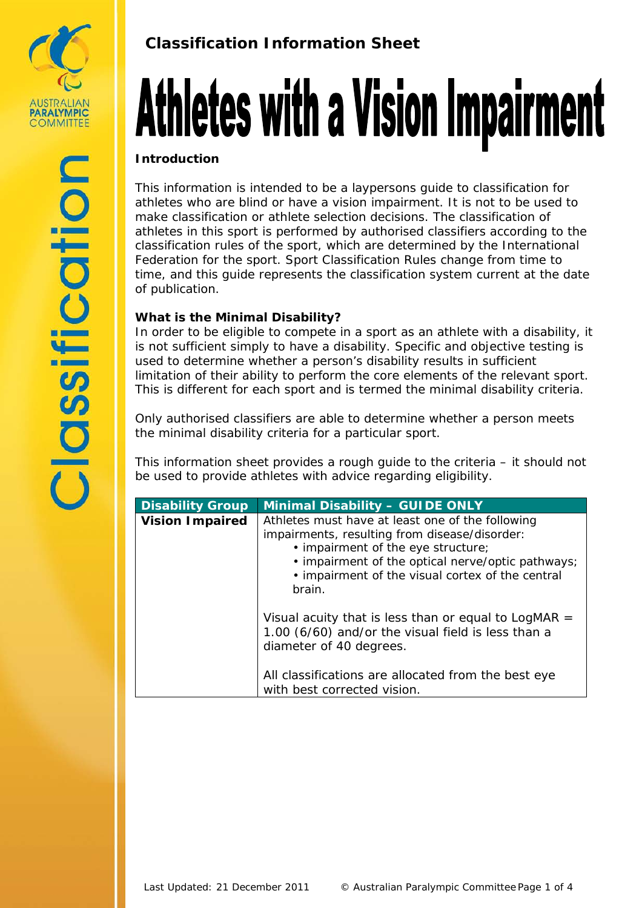

# **Classification Information Sheet**

# Athletes with a Vision Impairment

#### **Introduction**

This information is intended to be a laypersons guide to classification for athletes who are blind or have a vision impairment. It is not to be used to make classification or athlete selection decisions. The classification of athletes in this sport is performed by authorised classifiers according to the classification rules of the sport, which are determined by the International Federation for the sport. Sport Classification Rules change from time to time, and this guide represents the classification system current at the date of publication.

## **What is the Minimal Disability?**

In order to be eligible to compete in a sport as an athlete with a disability, it is not sufficient simply to have a disability. Specific and objective testing is used to determine whether a person's disability results in sufficient limitation of their ability to perform the core elements of the relevant sport. This is different for each sport and is termed the minimal disability criteria.

Only authorised classifiers are able to determine whether a person meets the minimal disability criteria for a particular sport.

This information sheet provides a rough guide to the criteria – it should not be used to provide athletes with advice regarding eligibility.

| <b>Disability Group</b> | <b>Minimal Disability - GUIDE ONLY</b>                                                                                                                                                                                                                     |
|-------------------------|------------------------------------------------------------------------------------------------------------------------------------------------------------------------------------------------------------------------------------------------------------|
| <b>Vision Impaired</b>  | Athletes must have at least one of the following<br>impairments, resulting from disease/disorder:<br>• impairment of the eye structure;<br>• impairment of the optical nerve/optic pathways;<br>• impairment of the visual cortex of the central<br>brain. |
|                         | Visual acuity that is less than or equal to LogMAR $=$<br>1.00 (6/60) and/or the visual field is less than a<br>diameter of 40 degrees.<br>All classifications are allocated from the best eye<br>with best corrected vision.                              |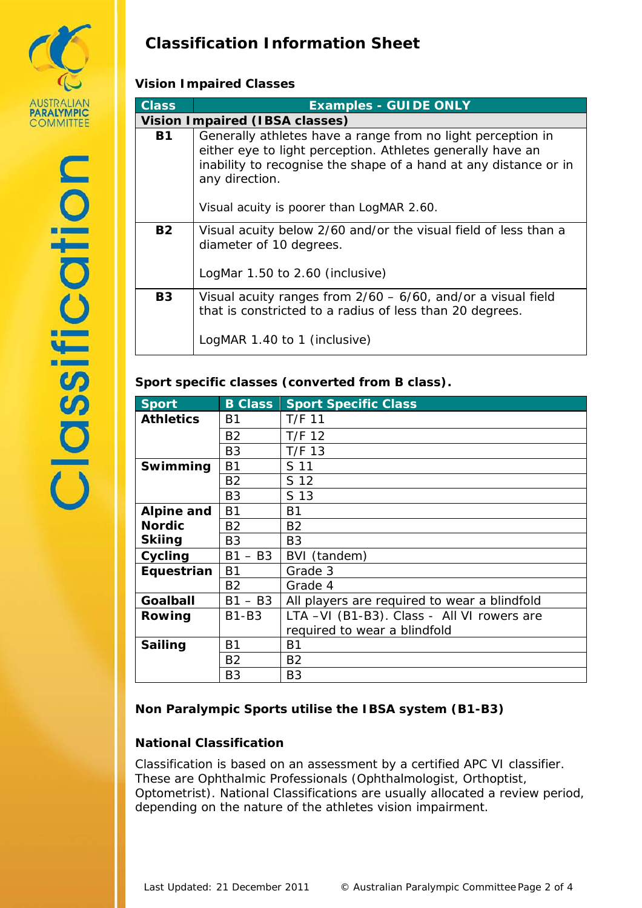

# **Classification Information Sheet**

### **Vision Impaired Classes**

| <b>Class</b> | <b>Examples - GUIDE ONLY</b>                                                                                                                                                                                                                                 |  |  |
|--------------|--------------------------------------------------------------------------------------------------------------------------------------------------------------------------------------------------------------------------------------------------------------|--|--|
|              | <b>Vision Impaired (IBSA classes)</b>                                                                                                                                                                                                                        |  |  |
| <b>B1</b>    | Generally athletes have a range from no light perception in<br>either eye to light perception. Athletes generally have an<br>inability to recognise the shape of a hand at any distance or in<br>any direction.<br>Visual acuity is poorer than LogMAR 2.60. |  |  |
| <b>B2</b>    | Visual acuity below 2/60 and/or the visual field of less than a<br>diameter of 10 degrees.<br>LogMar 1.50 to 2.60 (inclusive)                                                                                                                                |  |  |
| <b>B3</b>    | Visual acuity ranges from $2/60 - 6/60$ , and/or a visual field<br>that is constricted to a radius of less than 20 degrees.<br>LogMAR 1.40 to 1 (inclusive)                                                                                                  |  |  |

#### **Sport specific classes (converted from B class).**

| <b>Sport</b>      | <b>B Class</b> | <b>Sport Specific Class</b>                  |
|-------------------|----------------|----------------------------------------------|
| <b>Athletics</b>  | B1             | $T/F$ 11                                     |
|                   | <b>B2</b>      | $T/F$ 12                                     |
|                   | B <sub>3</sub> | $T/F$ 13                                     |
| Swimming          | B1             | S 11                                         |
|                   | <b>B2</b>      | S 12                                         |
|                   | B <sub>3</sub> | S 13                                         |
| <b>Alpine and</b> | <b>B1</b>      | <b>B1</b>                                    |
| <b>Nordic</b>     | <b>B2</b>      | B <sub>2</sub>                               |
| <b>Skiing</b>     | B3             | B3                                           |
| Cycling           | $- B3$<br>B1   | BVI (tandem)                                 |
| Equestrian        | B1             | Grade 3                                      |
|                   | B2             | Grade 4                                      |
| Goalball          | $B1 - B3$      | All players are required to wear a blindfold |
| Rowing            | <b>B1-B3</b>   | LTA -VI (B1-B3). Class - All VI rowers are   |
|                   |                | required to wear a blindfold                 |
| <b>Sailing</b>    | <b>B1</b>      | B1                                           |
|                   | <b>B2</b>      | B <sub>2</sub>                               |
|                   | B <sub>3</sub> | B <sub>3</sub>                               |

#### **Non Paralympic Sports utilise the IBSA system (B1-B3)**

#### **National Classification**

Classification is based on an assessment by a certified APC VI classifier. These are Ophthalmic Professionals (Ophthalmologist, Orthoptist, Optometrist). National Classifications are usually allocated a review period, depending on the nature of the athletes vision impairment.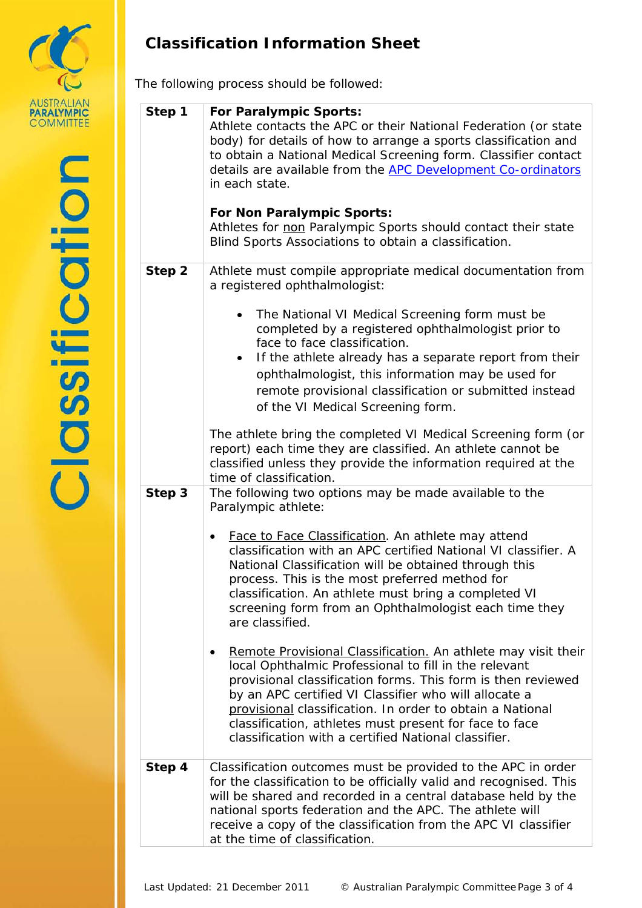

# **Classification Information Sheet**

The following process should be followed:

| Step 1 | <b>For Paralympic Sports:</b><br>Athlete contacts the APC or their National Federation (or state<br>body) for details of how to arrange a sports classification and<br>to obtain a National Medical Screening form. Classifier contact<br>details are available from the APC Development Co-ordinators<br>in each state.<br>For Non Paralympic Sports:<br>Athletes for non Paralympic Sports should contact their state<br>Blind Sports Associations to obtain a classification.                                                                                                                                                                                                                                                                                                                                                                                                            |  |
|--------|---------------------------------------------------------------------------------------------------------------------------------------------------------------------------------------------------------------------------------------------------------------------------------------------------------------------------------------------------------------------------------------------------------------------------------------------------------------------------------------------------------------------------------------------------------------------------------------------------------------------------------------------------------------------------------------------------------------------------------------------------------------------------------------------------------------------------------------------------------------------------------------------|--|
| Step 2 | Athlete must compile appropriate medical documentation from<br>a registered ophthalmologist:<br>The National VI Medical Screening form must be<br>completed by a registered ophthalmologist prior to<br>face to face classification.<br>If the athlete already has a separate report from their<br>ophthalmologist, this information may be used for<br>remote provisional classification or submitted instead<br>of the VI Medical Screening form.<br>The athlete bring the completed VI Medical Screening form (or<br>report) each time they are classified. An athlete cannot be<br>classified unless they provide the information required at the<br>time of classification.                                                                                                                                                                                                            |  |
| Step 3 | The following two options may be made available to the<br>Paralympic athlete:<br>Face to Face Classification. An athlete may attend<br>٠<br>classification with an APC certified National VI classifier. A<br>National Classification will be obtained through this<br>process. This is the most preferred method for<br>classification. An athlete must bring a completed VI<br>screening form from an Ophthalmologist each time they<br>are classified.<br>Remote Provisional Classification. An athlete may visit their<br>local Ophthalmic Professional to fill in the relevant<br>provisional classification forms. This form is then reviewed<br>by an APC certified VI Classifier who will allocate a<br>provisional classification. In order to obtain a National<br>classification, athletes must present for face to face<br>classification with a certified National classifier. |  |
| Step 4 | Classification outcomes must be provided to the APC in order<br>for the classification to be officially valid and recognised. This<br>will be shared and recorded in a central database held by the<br>national sports federation and the APC. The athlete will<br>receive a copy of the classification from the APC VI classifier<br>at the time of classification.                                                                                                                                                                                                                                                                                                                                                                                                                                                                                                                        |  |